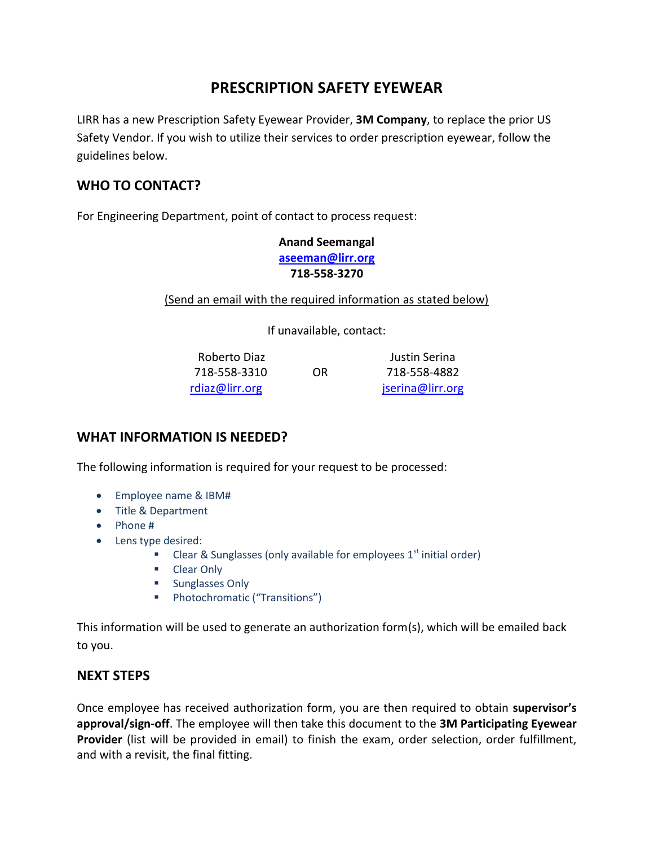# **PRESCRIPTION SAFETY EYEWEAR**

LIRR has a new Prescription Safety Eyewear Provider, **3M Company**, to replace the prior US Safety Vendor. If you wish to utilize their services to order prescription eyewear, follow the guidelines below.

## **WHO TO CONTACT?**

For Engineering Department, point of contact to process request:

**Anand Seemangal [aseeman@lirr.org](mailto:aseeman@lirr.org) 718-558-3270**

(Send an email with the required information as stated below)

If unavailable, contact:

Roberto Diaz Justin Serina 718-558-3310 OR 718-558-4882 [rdiaz@lirr.org](mailto:rdiaz@lirr.org) iserina@lirr.org

### **WHAT INFORMATION IS NEEDED?**

The following information is required for your request to be processed:

- Employee name & IBM#
- Title & Department
- Phone #
- Lens type desired:
	- Clear & Sunglasses (only available for employees  $1<sup>st</sup>$  initial order)
	- Clear Only
	- **Sunglasses Only**
	- **Photochromatic ("Transitions")**

This information will be used to generate an authorization form(s), which will be emailed back to you.

### **NEXT STEPS**

Once employee has received authorization form, you are then required to obtain **supervisor's approval/sign-off**. The employee will then take this document to the **3M Participating Eyewear Provider** (list will be provided in email) to finish the exam, order selection, order fulfillment, and with a revisit, the final fitting.